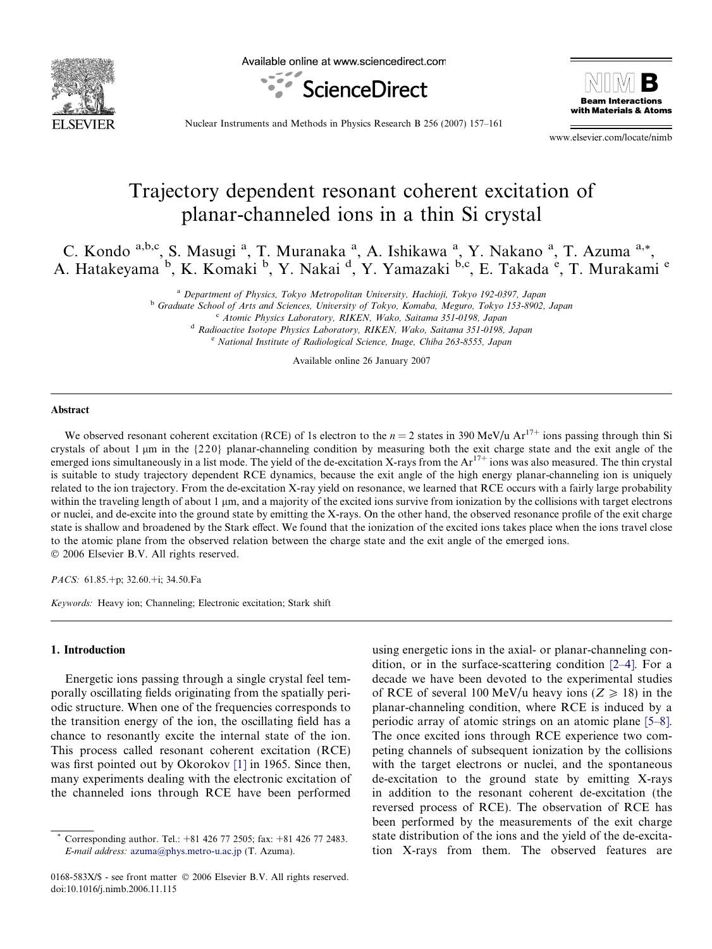

Available online at www.sciencedirect.com





Nuclear Instruments and Methods in Physics Research B 256 (2007) 157–161

www.elsevier.com/locate/nimb

# Trajectory dependent resonant coherent excitation of planar-channeled ions in a thin Si crystal

C. Kondo a,b,c, S. Masugi <sup>a</sup>, T. Muranaka <sup>a</sup>, A. Ishikawa <sup>a</sup>, Y. Nakano <sup>a</sup>, T. Azuma <sup>a,\*</sup>, A. Hatakeyama<sup>b</sup>, K. Komaki<sup>b</sup>, Y. Nakai<sup>d</sup>, Y. Yamazaki<sup>b,c</sup>, E. Takada<sup>e</sup>, T. Murakami<sup>e</sup>

<sup>a</sup> Department of Physics, Tokyo Metropolitan University, Hachioji, Tokyo 192-0397, Japan

<sup>b</sup> Graduate School of Arts and Sciences, University of Tokyo, Komaba, Meguro, Tokyo 153-8902, Japan

<sup>c</sup> Atomic Physics Laboratory, RIKEN, Wako, Saitama 351-0198, Japan

<sup>d</sup> Radioactive Isotope Physics Laboratory, RIKEN, Wako, Saitama 351-0198, Japan <sup>e</sup> National Institute of Radiological Science, Inage, Chiba 263-8555, Japan

Available online 26 January 2007

#### Abstract

We observed resonant coherent excitation (RCE) of 1s electron to the  $n = 2$  states in 390 MeV/u Ar<sup>17+</sup> ions passing through thin Si crystals of about 1  $\mu$ m in the {220} planar-channeling condition by measuring both the exit charge state and the exit angle of the emerged ions simultaneously in a list mode. The yield of the de-excitation X-rays from the Ar<sup>17+</sup> ions was also measured. The thin crystal is suitable to study trajectory dependent RCE dynamics, because the exit angle of the high energy planar-channeling ion is uniquely related to the ion trajectory. From the de-excitation X-ray yield on resonance, we learned that RCE occurs with a fairly large probability within the traveling length of about 1  $\mu$ m, and a majority of the excited ions survive from ionization by the collisions with target electrons or nuclei, and de-excite into the ground state by emitting the X-rays. On the other hand, the observed resonance profile of the exit charge state is shallow and broadened by the Stark effect. We found that the ionization of the excited ions takes place when the ions travel close to the atomic plane from the observed relation between the charge state and the exit angle of the emerged ions. © 2006 Elsevier B.V. All rights reserved.

PACS: 61.85.+p; 32.60.+i; 34.50.Fa

Keywords: Heavy ion; Channeling; Electronic excitation; Stark shift

### 1. Introduction

Energetic ions passing through a single crystal feel temporally oscillating fields originating from the spatially periodic structure. When one of the frequencies corresponds to the transition energy of the ion, the oscillating field has a chance to resonantly excite the internal state of the ion. This process called resonant coherent excitation (RCE) was first pointed out by Okorokov [\[1\]](#page-4-0) in 1965. Since then, many experiments dealing with the electronic excitation of the channeled ions through RCE have been performed

using energetic ions in the axial- or planar-channeling condition, or in the surface-scattering condition [\[2–4\].](#page-4-0) For a decade we have been devoted to the experimental studies of RCE of several 100 MeV/u heavy ions ( $Z \ge 18$ ) in the planar-channeling condition, where RCE is induced by a periodic array of atomic strings on an atomic plane [\[5–8\].](#page-4-0) The once excited ions through RCE experience two competing channels of subsequent ionization by the collisions with the target electrons or nuclei, and the spontaneous de-excitation to the ground state by emitting X-rays in addition to the resonant coherent de-excitation (the reversed process of RCE). The observation of RCE has been performed by the measurements of the exit charge state distribution of the ions and the yield of the de-excitation X-rays from them. The observed features are

Corresponding author. Tel.: +81 426 77 2505; fax: +81 426 77 2483. E-mail address: [azuma@phys.metro-u.ac.jp](mailto:azuma@phys.metro-u.ac.jp) (T. Azuma).

<sup>0168-583</sup>X/\$ - see front matter © 2006 Elsevier B.V. All rights reserved. doi:10.1016/j.nimb.2006.11.115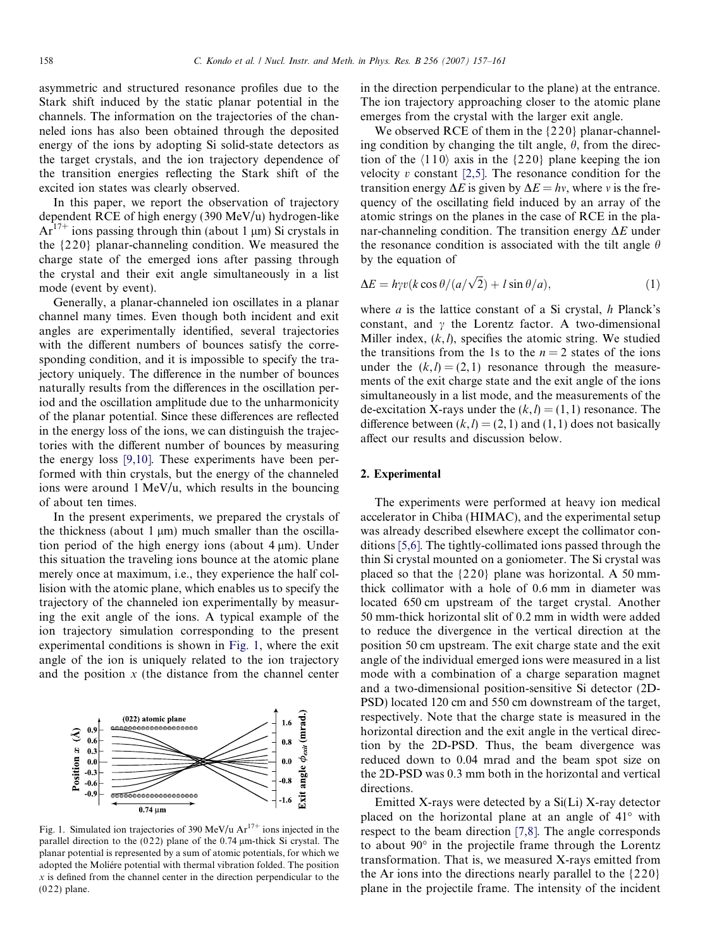asymmetric and structured resonance profiles due to the Stark shift induced by the static planar potential in the channels. The information on the trajectories of the channeled ions has also been obtained through the deposited energy of the ions by adopting Si solid-state detectors as the target crystals, and the ion trajectory dependence of the transition energies reflecting the Stark shift of the excited ion states was clearly observed.

In this paper, we report the observation of trajectory dependent RCE of high energy (390 MeV/u) hydrogen-like  $Ar^{17+}$  ions passing through thin (about 1 µm) Si crystals in the {2 2 0} planar-channeling condition. We measured the charge state of the emerged ions after passing through the crystal and their exit angle simultaneously in a list mode (event by event).

Generally, a planar-channeled ion oscillates in a planar channel many times. Even though both incident and exit angles are experimentally identified, several trajectories with the different numbers of bounces satisfy the corresponding condition, and it is impossible to specify the trajectory uniquely. The difference in the number of bounces naturally results from the differences in the oscillation period and the oscillation amplitude due to the unharmonicity of the planar potential. Since these differences are reflected in the energy loss of the ions, we can distinguish the trajectories with the different number of bounces by measuring the energy loss [\[9,10\]](#page-4-0). These experiments have been performed with thin crystals, but the energy of the channeled ions were around 1 MeV/u, which results in the bouncing of about ten times.

In the present experiments, we prepared the crystals of the thickness (about  $1 \mu m$ ) much smaller than the oscillation period of the high energy ions (about  $4 \mu m$ ). Under this situation the traveling ions bounce at the atomic plane merely once at maximum, i.e., they experience the half collision with the atomic plane, which enables us to specify the trajectory of the channeled ion experimentally by measuring the exit angle of the ions. A typical example of the ion trajectory simulation corresponding to the present experimental conditions is shown in Fig. 1, where the exit angle of the ion is uniquely related to the ion trajectory and the position  $x$  (the distance from the channel center



Fig. 1. Simulated ion trajectories of 390 MeV/u  $Ar^{17+}$  ions injected in the parallel direction to the  $(022)$  plane of the 0.74  $\mu$ m-thick Si crystal. The planar potential is represented by a sum of atomic potentials, for which we adopted the Moliére potential with thermal vibration folded. The position  $x$  is defined from the channel center in the direction perpendicular to the  $(022)$  plane.

in the direction perpendicular to the plane) at the entrance. The ion trajectory approaching closer to the atomic plane emerges from the crystal with the larger exit angle.

We observed RCE of them in the  $\{220\}$  planar-channeling condition by changing the tilt angle,  $\theta$ , from the direction of the  $\langle 110 \rangle$  axis in the  $\{220\}$  plane keeping the ion velocity  $v$  constant [\[2,5\]](#page-4-0). The resonance condition for the transition energy  $\Delta E$  is given by  $\Delta E = hv$ , where v is the frequency of the oscillating field induced by an array of the atomic strings on the planes in the case of RCE in the planar-channeling condition. The transition energy  $\Delta E$  under the resonance condition is associated with the tilt angle  $\theta$ by the equation of

$$
\Delta E = h\gamma v(k\cos\theta/(a/\sqrt{2}) + l\sin\theta/a), \qquad (1)
$$

where  $a$  is the lattice constant of a Si crystal,  $h$  Planck's constant, and  $\gamma$  the Lorentz factor. A two-dimensional Miller index,  $(k, l)$ , specifies the atomic string. We studied the transitions from the 1s to the  $n = 2$  states of the ions under the  $(k,l) = (2, 1)$  resonance through the measurements of the exit charge state and the exit angle of the ions simultaneously in a list mode, and the measurements of the de-excitation X-rays under the  $(k, l) = (1, 1)$  resonance. The difference between  $(k, l) = (2, 1)$  and  $(1, 1)$  does not basically affect our results and discussion below.

## 2. Experimental

The experiments were performed at heavy ion medical accelerator in Chiba (HIMAC), and the experimental setup was already described elsewhere except the collimator conditions [\[5,6\]](#page-4-0). The tightly-collimated ions passed through the thin Si crystal mounted on a goniometer. The Si crystal was placed so that the  $\{220\}$  plane was horizontal. A 50 mmthick collimator with a hole of 0.6 mm in diameter was located 650 cm upstream of the target crystal. Another 50 mm-thick horizontal slit of 0.2 mm in width were added to reduce the divergence in the vertical direction at the position 50 cm upstream. The exit charge state and the exit angle of the individual emerged ions were measured in a list mode with a combination of a charge separation magnet and a two-dimensional position-sensitive Si detector (2D-PSD) located 120 cm and 550 cm downstream of the target, respectively. Note that the charge state is measured in the horizontal direction and the exit angle in the vertical direction by the 2D-PSD. Thus, the beam divergence was reduced down to 0.04 mrad and the beam spot size on the 2D-PSD was 0.3 mm both in the horizontal and vertical directions.

Emitted X-rays were detected by a Si(Li) X-ray detector placed on the horizontal plane at an angle of  $41^\circ$  with respect to the beam direction [\[7,8\]](#page-4-0). The angle corresponds to about  $90^\circ$  in the projectile frame through the Lorentz transformation. That is, we measured X-rays emitted from the Ar ions into the directions nearly parallel to the  $\{220\}$ plane in the projectile frame. The intensity of the incident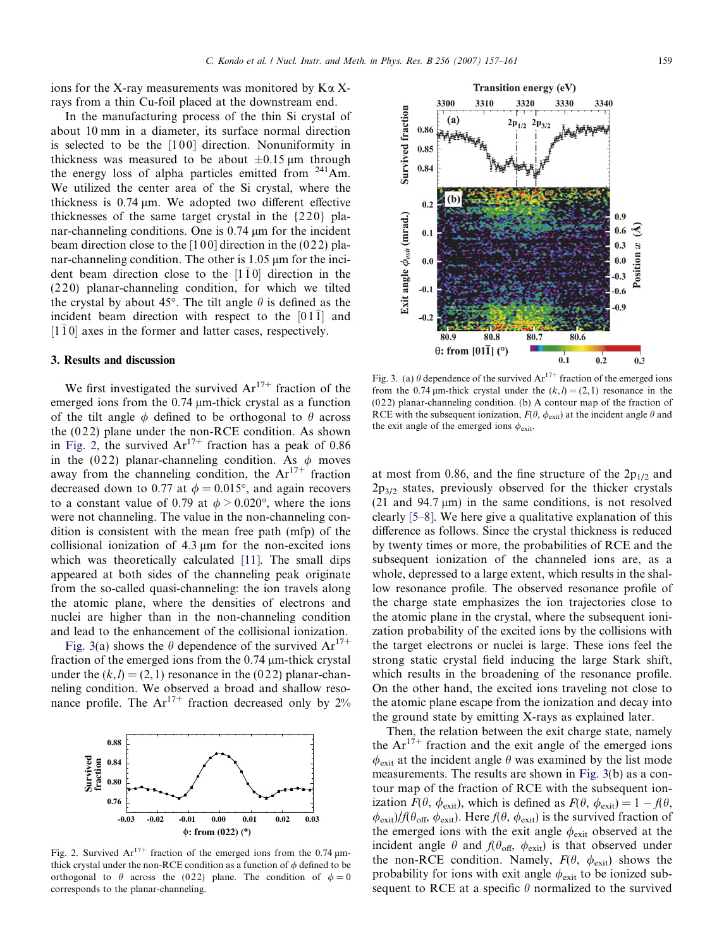ions for the X-ray measurements was monitored by  $K\alpha X$ rays from a thin Cu-foil placed at the downstream end.

In the manufacturing process of the thin Si crystal of about 10 mm in a diameter, its surface normal direction is selected to be the [100] direction. Nonuniformity in thickness was measured to be about  $\pm 0.15$  µm through the energy loss of alpha particles emitted from  $241$ Am. We utilized the center area of the Si crystal, where the thickness is  $0.74 \mu m$ . We adopted two different effective thicknesses of the same target crystal in the {2 2 0} planar-channeling conditions. One is  $0.74 \mu m$  for the incident beam direction close to the  $[100]$  direction in the  $(022)$  planar-channeling condition. The other is  $1.05 \mu m$  for the incident beam direction close to the  $[1\bar{1}0]$  direction in the (220) planar-channeling condition, for which we tilted the crystal by about 45°. The tilt angle  $\theta$  is defined as the incident beam direction with respect to the  $[01\bar{1}]$  and  $[1\bar{1}0]$  axes in the former and latter cases, respectively.

#### 3. Results and discussion

We first investigated the survived  $Ar^{17+}$  fraction of the emerged ions from the  $0.74 \mu$ m-thick crystal as a function of the tilt angle  $\phi$  defined to be orthogonal to  $\theta$  across the  $(022)$  plane under the non-RCE condition. As shown in Fig. 2, the survived  $Ar^{17+}$  fraction has a peak of 0.86 in the (022) planar-channeling condition. As  $\phi$  moves away from the channeling condition, the  $Ar^{17+}$  fraction decreased down to 0.77 at  $\phi = 0.015^{\circ}$ , and again recovers to a constant value of 0.79 at  $\phi > 0.020^{\circ}$ , where the ions were not channeling. The value in the non-channeling condition is consistent with the mean free path (mfp) of the collisional ionization of  $4.3 \mu m$  for the non-excited ions which was theoretically calculated [\[11\]](#page-4-0). The small dips appeared at both sides of the channeling peak originate from the so-called quasi-channeling: the ion travels along the atomic plane, where the densities of electrons and nuclei are higher than in the non-channeling condition and lead to the enhancement of the collisional ionization.

Fig. 3(a) shows the  $\theta$  dependence of the survived  $Ar^{17+}$ fraction of the emerged ions from the  $0.74 \mu$ m-thick crystal under the  $(k, l) = (2, 1)$  resonance in the (022) planar-channeling condition. We observed a broad and shallow resonance profile. The  $Ar^{17+}$  fraction decreased only by 2%



Fig. 2. Survived  $Ar^{17+}$  fraction of the emerged ions from the 0.74  $\mu$ mthick crystal under the non-RCE condition as a function of  $\phi$  defined to be orthogonal to  $\theta$  across the (0.22) plane. The condition of  $\phi = 0$ corresponds to the planar-channeling.



Transition energy (eV)

Fig. 3. (a)  $\theta$  dependence of the survived  $Ar^{17+}$  fraction of the emerged ions from the 0.74  $\mu$ m-thick crystal under the  $(k, l) = (2, 1)$  resonance in the (0 2 2) planar-channeling condition. (b) A contour map of the fraction of RCE with the subsequent ionization,  $F(\theta, \phi_{\text{exit}})$  at the incident angle  $\theta$  and the exit angle of the emerged ions  $\phi_{\text{exit}}$ .

at most from 0.86, and the fine structure of the  $2p_{1/2}$  and  $2p_{3/2}$  states, previously observed for the thicker crystals (21 and  $94.7 \text{ }\mu\text{m}$ ) in the same conditions, is not resolved clearly [\[5–8\].](#page-4-0) We here give a qualitative explanation of this difference as follows. Since the crystal thickness is reduced by twenty times or more, the probabilities of RCE and the subsequent ionization of the channeled ions are, as a whole, depressed to a large extent, which results in the shallow resonance profile. The observed resonance profile of the charge state emphasizes the ion trajectories close to the atomic plane in the crystal, where the subsequent ionization probability of the excited ions by the collisions with the target electrons or nuclei is large. These ions feel the strong static crystal field inducing the large Stark shift, which results in the broadening of the resonance profile. On the other hand, the excited ions traveling not close to the atomic plane escape from the ionization and decay into the ground state by emitting X-rays as explained later.

Then, the relation between the exit charge state, namely the  $Ar^{17+}$  fraction and the exit angle of the emerged ions  $\phi_{\text{exit}}$  at the incident angle  $\theta$  was examined by the list mode measurements. The results are shown in Fig. 3(b) as a contour map of the fraction of RCE with the subsequent ionization  $F(\theta, \phi_{\text{exit}})$ , which is defined as  $F(\theta, \phi_{\text{exit}})=1 - f(\theta,$  $\phi_{\text{exit}}$ /f( $\theta_{\text{off}}$ ,  $\phi_{\text{exit}}$ ). Here f( $\theta$ ,  $\phi_{\text{exit}}$ ) is the survived fraction of the emerged ions with the exit angle  $\phi_{\text{exit}}$  observed at the incident angle  $\theta$  and  $f(\theta_{\text{off}}, \phi_{\text{exit}})$  is that observed under the non-RCE condition. Namely,  $F(\theta, \phi_{exit})$  shows the probability for ions with exit angle  $\phi_{\text{exit}}$  to be ionized subsequent to RCE at a specific  $\theta$  normalized to the survived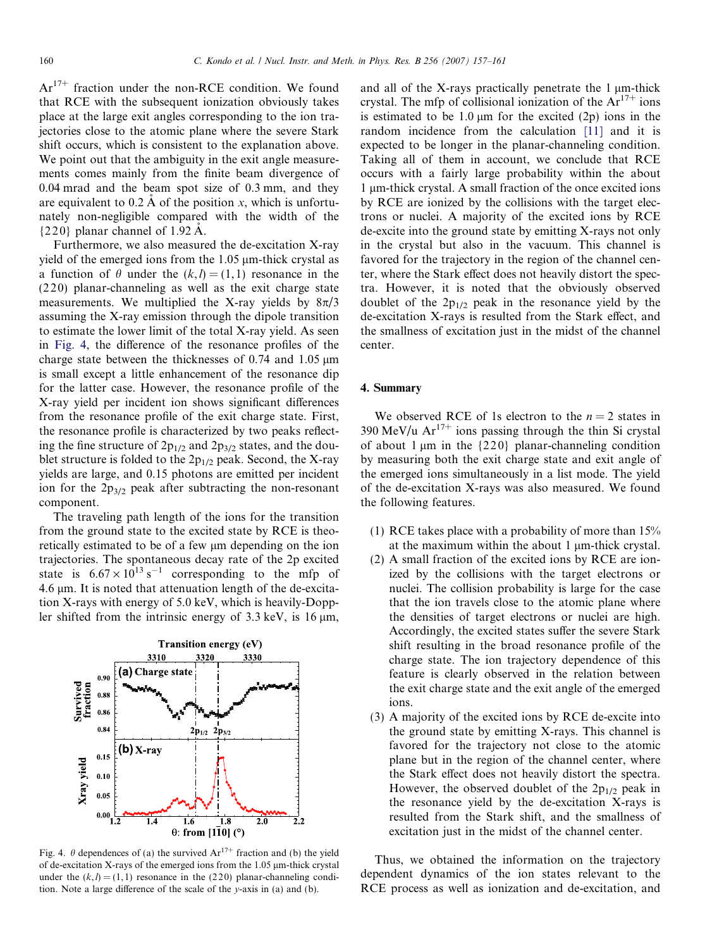$Ar^{17+}$  fraction under the non-RCE condition. We found that RCE with the subsequent ionization obviously takes place at the large exit angles corresponding to the ion trajectories close to the atomic plane where the severe Stark shift occurs, which is consistent to the explanation above. We point out that the ambiguity in the exit angle measurements comes mainly from the finite beam divergence of 0.04 mrad and the beam spot size of 0.3 mm, and they are equivalent to  $0.2 \text{ Å}$  of the position x, which is unfortunately non-negligible compared with the width of the  ${220}$  planar channel of 1.92 Å.

Furthermore, we also measured the de-excitation X-ray yield of the emerged ions from the  $1.05 \mu$ m-thick crystal as a function of  $\theta$  under the  $(k, l) = (1, 1)$  resonance in the (2 2 0) planar-channeling as well as the exit charge state measurements. We multiplied the X-ray yields by  $8\pi/3$ assuming the X-ray emission through the dipole transition to estimate the lower limit of the total X-ray yield. As seen in Fig. 4, the difference of the resonance profiles of the charge state between the thicknesses of  $0.74$  and  $1.05 \mu m$ is small except a little enhancement of the resonance dip for the latter case. However, the resonance profile of the X-ray yield per incident ion shows significant differences from the resonance profile of the exit charge state. First, the resonance profile is characterized by two peaks reflecting the fine structure of  $2p_{1/2}$  and  $2p_{3/2}$  states, and the doublet structure is folded to the  $2p_{1/2}$  peak. Second, the X-ray yields are large, and 0.15 photons are emitted per incident ion for the  $2p_{3/2}$  peak after subtracting the non-resonant component.

The traveling path length of the ions for the transition from the ground state to the excited state by RCE is theoretically estimated to be of a few µm depending on the ion trajectories. The spontaneous decay rate of the 2p excited state is  $6.67 \times 10^{13}$  s<sup>-1</sup> corresponding to the mfp of 4.6  $\mu$ m. It is noted that attenuation length of the de-excitation X-rays with energy of 5.0 keV, which is heavily-Doppler shifted from the intrinsic energy of  $3.3 \text{ keV}$ , is  $16 \mu \text{m}$ ,



Fig. 4.  $\theta$  dependences of (a) the survived Ar<sup>17+</sup> fraction and (b) the yield of de-excitation X-rays of the emerged ions from the  $1.05 \mu m$ -thick crystal under the  $(k,l) = (1, 1)$  resonance in the (220) planar-channeling condition. Note a large difference of the scale of the y-axis in (a) and (b).

and all of the X-rays practically penetrate the  $1 \mu$ m-thick crystal. The mfp of collisional ionization of the  $Ar^{17+}$  ions is estimated to be  $1.0 \text{ µm}$  for the excited  $(2p)$  ions in the random incidence from the calculation [\[11\]](#page-4-0) and it is expected to be longer in the planar-channeling condition. Taking all of them in account, we conclude that RCE occurs with a fairly large probability within the about 1 lm-thick crystal. A small fraction of the once excited ions by RCE are ionized by the collisions with the target electrons or nuclei. A majority of the excited ions by RCE de-excite into the ground state by emitting X-rays not only in the crystal but also in the vacuum. This channel is favored for the trajectory in the region of the channel center, where the Stark effect does not heavily distort the spectra. However, it is noted that the obviously observed doublet of the  $2p_{1/2}$  peak in the resonance yield by the de-excitation X-rays is resulted from the Stark effect, and the smallness of excitation just in the midst of the channel center.

# 4. Summary

We observed RCE of 1s electron to the  $n = 2$  states in 390 MeV/u  $Ar^{17+}$  ions passing through the thin Si crystal of about 1  $\mu$ m in the {220} planar-channeling condition by measuring both the exit charge state and exit angle of the emerged ions simultaneously in a list mode. The yield of the de-excitation X-rays was also measured. We found the following features.

- (1) RCE takes place with a probability of more than 15% at the maximum within the about  $1 \mu$ m-thick crystal.
- (2) A small fraction of the excited ions by RCE are ionized by the collisions with the target electrons or nuclei. The collision probability is large for the case that the ion travels close to the atomic plane where the densities of target electrons or nuclei are high. Accordingly, the excited states suffer the severe Stark shift resulting in the broad resonance profile of the charge state. The ion trajectory dependence of this feature is clearly observed in the relation between the exit charge state and the exit angle of the emerged ions.
- (3) A majority of the excited ions by RCE de-excite into the ground state by emitting X-rays. This channel is favored for the trajectory not close to the atomic plane but in the region of the channel center, where the Stark effect does not heavily distort the spectra. However, the observed doublet of the  $2p_{1/2}$  peak in the resonance yield by the de-excitation X-rays is resulted from the Stark shift, and the smallness of excitation just in the midst of the channel center.

Thus, we obtained the information on the trajectory dependent dynamics of the ion states relevant to the RCE process as well as ionization and de-excitation, and